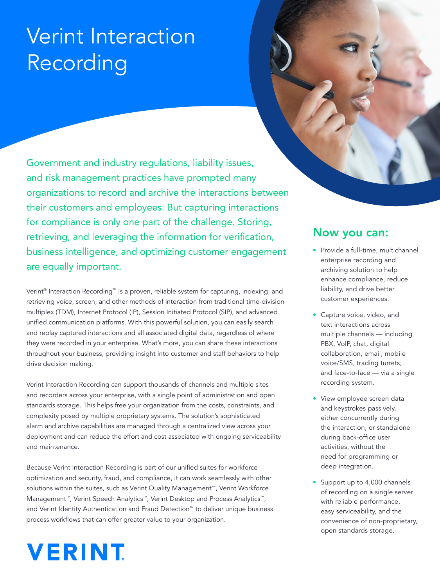## Verint Interaction Recording

Government and industry regulations, liability issues, and risk management practices have prompted many organizations to record and archive the interactions between their customers and employees. But capturing interactions for compliance is only one part of the challenge. Storing, retrieving, and leveraging the information for verification, business intelligence, and optimizing customer engagement are equally important.

Verint® Interaction Recording™ is a proven, reliable system for capturing, indexing, and retrieving voice, screen, and other methods of interaction from traditional time-division multiplex (TDM), Internet Protocol (IP), Session Initiated Protocol (SIP), and advanced unified communication platforms. With this powerful solution, you can easily search and replay captured interactions and all associated digital data, regardless of where they were recorded in your enterprise. What's more, you can share these interactions throughout your business, providing insight into customer and staff behaviors to help drive decision making.

Verint Interaction Recording can support thousands of channels and multiple sites and recorders across your enterprise, with a single point of administration and open standards storage. This helps free your organization from the costs, constraints, and complexity posed by multiple proprietary systems. The solution's sophisticated alarm and archive capabilities are managed through a centralized view across your deployment and can reduce the effort and cost associated with ongoing serviceability and maintenance.

Because Verint Interaction Recording is part of our unified suites for workforce optimization and security, fraud, and compliance, it can work seamlessly with other solutions within the suites, such as Verint Quality Management™, Verint Workforce Management™, Verint Speech Analytics™, Verint Desktop and Process Analytics™, and Verint Identity Authentication and Fraud Detection™ to deliver unique business process workflows that can offer greater value to your organization.

# **VERINT**



- Provide a full-time, multichannel enterprise recording and archiving solution to help enhance compliance, reduce liability, and drive better customer experiences.
- Capture voice, video, and text interactions across multiple channels — including PBX, VoIP, chat, digital collaboration, email, mobile voice/SMS, trading turrets, and face-to-face — via a single recording system.
- View employee screen data and keystrokes passively, either concurrently during the interaction, or standalone during back-office user activities, without the need for programming or deep integration.
- Support up to 4,000 channels of recording on a single server with reliable performance, easy serviceability, and the convenience of non-proprietary, open standards storage.